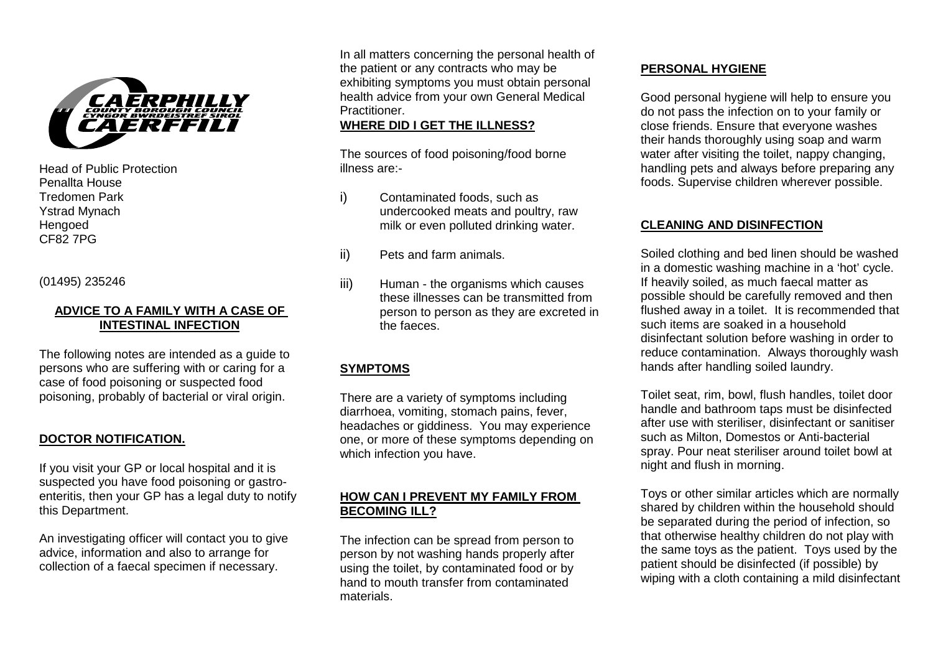

Head of Public Protection Penallta House Tredomen Park Ystrad Mynach Hengoed CF82 7PG

(01495) 235246

### **ADVICE TO A FAMILY WITH A CASE OF INTESTINAL INFECTION**

The following notes are intended as a quide to persons who are suffering with or caring for a case of food poisoning or suspected food poisoning, probably of bacterial or viral origin.

### **DOCTOR NOTIFICATION.**

If you visit your GP or local hospital and it is suspected you have food poisoning or gastroenteritis, then your GP has a legal duty to notify this Department.

An investigating officer will contact you to give advice, information and also to arrange for collection of a faecal specimen if necessary.

In all matters concerning the personal health of the patient or any contracts who may be exhibiting symptoms you must obtain personal health advice from your own General Medical **Practitioner** 

### **WHERE DID I GET THE ILLNESS?**

The sources of food poisoning/food borne illness are:-

- i) Contaminated foods, such as undercooked meats and poultry, raw milk or even polluted drinking water.
- ii) Pets and farm animals.
- iii) Human the organisms which causes these illnesses can be transmitted from person to person as they are excreted in the faeces.

## **SYMPTOMS**

There are a variety of symptoms including diarrhoea, vomiting, stomach pains, fever, headaches or giddiness. You may experience one, or more of these symptoms depending on which infection you have.

## **HOW CAN I PREVENT MY FAMILY FROM BECOMING ILL?**

The infection can be spread from person to person by not washing hands properly after using the toilet, by contaminated food or by hand to mouth transfer from contaminated materials.

### **PERSONAL HYGIENE**

Good personal hygiene will help to ensure you do not pass the infection on to your family or close friends. Ensure that everyone washes their hands thoroughly using soap and warm water after visiting the toilet, nappy changing, handling pets and always before preparing any foods. Supervise children wherever possible.

# **CLEANING AND DISINFECTION**

Soiled clothing and bed linen should be washed in a domestic washing machine in a 'hot' cycle. If heavily soiled, as much faecal matter as possible should be carefully removed and then flushed away in a toilet. It is recommended that such items are soaked in a household disinfectant solution before washing in order to reduce contamination. Always thoroughly wash hands after handling soiled laundry.

Toilet seat, rim, bowl, flush handles, toilet door handle and bathroom taps must be disinfected after use with steriliser, disinfectant or sanitiser such as Milton, Domestos or Anti-bacterial spray. Pour neat steriliser around toilet bowl at night and flush in morning.

Toys or other similar articles which are normally shared by children within the household should be separated during the period of infection, so that otherwise healthy children do not play with the same toys as the patient. Toys used by the patient should be disinfected (if possible) by wiping with a cloth containing a mild disinfectant